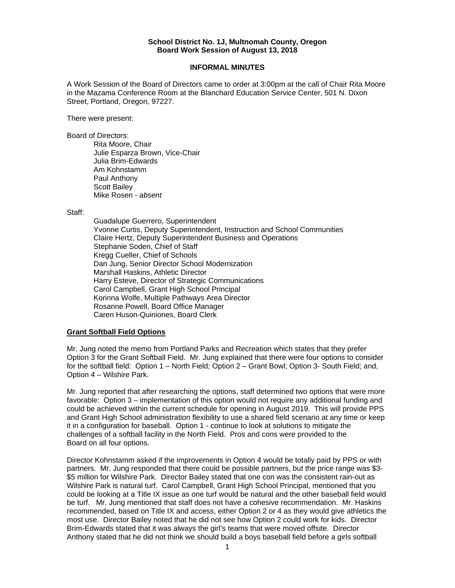## **School District No. 1J, Multnomah County, Oregon Board Work Session of August 13, 2018**

## **INFORMAL MINUTES**

A Work Session of the Board of Directors came to order at 3:00pm at the call of Chair Rita Moore in the Mazama Conference Room at the Blanchard Education Service Center, 501 N. Dixon Street, Portland, Oregon, 97227.

There were present:

Board of Directors:

Rita Moore, Chair Julie Esparza Brown, Vice-Chair Julia Brim-Edwards Am Kohnstamm Paul Anthony Scott Bailey Mike Rosen - *absent* 

Staff:

 Guadalupe Guerrero, Superintendent Yvonne Curtis, Deputy Superintendent, Instruction and School Communities Claire Hertz, Deputy Superintendent Business and Operations Stephanie Soden, Chief of Staff Kregg Cueller, Chief of Schools Dan Jung, Senior Director School Modernization Marshall Haskins, Athletic Director Harry Esteve, Director of Strategic Communications Carol Campbell, Grant High School Principal Korinna Wolfe, Multiple Pathways Area Director Rosanne Powell, Board Office Manager Caren Huson-Quiniones, Board Clerk

## **Grant Softball Field Options**

Mr. Jung noted the memo from Portland Parks and Recreation which states that they prefer Option 3 for the Grant Softball Field. Mr. Jung explained that there were four options to consider for the softball field: Option 1 – North Field; Option 2 – Grant Bowl; Option 3- South Field; and, Option 4 – Wilshire Park.

Mr. Jung reported that after researching the options, staff determined two options that were more favorable: Option 3 – implementation of this option would not require any additional funding and could be achieved within the current schedule for opening in August 2019. This will provide PPS and Grant High School administration flexibility to use a shared field scenario at any time or keep it in a configuration for baseball. Option 1 - continue to look at solutions to mitigate the challenges of a softball facility in the North Field. Pros and cons were provided to the Board on all four options.

Director Kohnstamm asked if the improvements in Option 4 would be totally paid by PPS or with partners. Mr. Jung responded that there could be possible partners, but the price range was \$3- \$5 million for Wilshire Park. Director Bailey stated that one con was the consistent rain-out as Wilshire Park is natural turf. Carol Campbell, Grant High School Principal, mentioned that you could be looking at a Title IX issue as one turf would be natural and the other baseball field would be turf. Mr. Jung mentioned that staff does not have a cohesive recommendation. Mr. Haskins recommended, based on Title IX and access, either Option 2 or 4 as they would give athletics the most use. Director Bailey noted that he did not see how Option 2 could work for kids. Director Brim-Edwards stated that it was always the girl's teams that were moved offsite. Director Anthony stated that he did not think we should build a boys baseball field before a girls softball